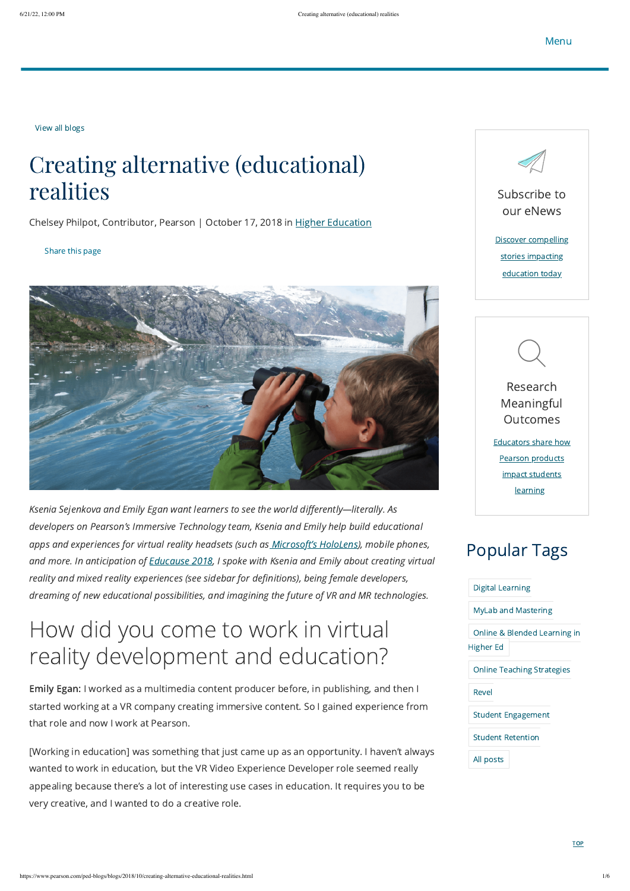<span id="page-0-0"></span>View all [blogs](https://www.pearson.com/ped-blogs)

### Creating alternative (educational) realities

Chelsey Philpot, Contributor, Pearson | October 17, 2018 in Higher [Education](https://www.pearson.com/ped-blogs?tagId=one-dot-com:one-dot-com/ped-blogs/categories/higher-education)

#### Share this page



Ksenia Sejenkova and Emily Egan want learners to see the world differently—literally. As developers on Pearson's Immersive Technology team, Ksenia and Emily help build educational apps and experiences for virtual reality headsets (such as [Microsoft's](https://www.pearson.com/uk/web/pearsontq/news-and-blogs/2016/05/microsoft-hololens-partnership.html) HoloLens), mobile phones, and more. In anticipation of **[Educause](https://events.educause.edu/annual-conference) 2018**, I spoke with Ksenia and Emily about creating virtual reality and mixed reality experiences (see sidebar for definitions), being female developers, dreaming of new educational possibilities, and imagining the future of VR and MR technologies.

### How did you come to work in virtual reality development and education?

Emily Egan: I worked as a multimedia content producer before, in publishing, and then I started working at a VR company creating immersive content. So I gained experience from that role and now I work at Pearson.

[Working in education] was something that just came up as an opportunity. I haven't always wanted to work in education, but the VR Video Experience Developer role seemed really appealing because there's a lot of interesting use cases in education. It requires you to be very creative, and I wanted to do a creative role.

#### Digital [Learning](https://www.pearson.com/ped-blogs?tagId=one-dot-com%3Aone-dot-com%2Fped-blogs%2Ftopics%2Fdigital-learning)

MyLab and [Mastering](https://www.pearson.com/ped-blogs?tagId=one-dot-com%3Aone-dot-com%2Fped-blogs%2Ftopics%2Fmylab-mastering)

Online & Blended [Learning](https://www.pearson.com/ped-blogs?tagId=one-dot-com%3Aone-dot-com%2Fped-blogs%2Ftopics%2Fonline-blended-learning-in-higher-ed) in Higher Ed

Online Teaching [Strategies](https://www.pearson.com/ped-blogs?tagId=one-dot-com%3Aone-dot-com%2Fped-blogs%2Ftopics%2Fonline-teaching-strategies)

[Revel](https://www.pearson.com/ped-blogs?tagId=one-dot-com%3Aone-dot-com%2Fped-blogs%2Ftopics%2Frevel)

Student [Engagement](https://www.pearson.com/ped-blogs?tagId=one-dot-com%3Aone-dot-com%2Fped-blogs%2Ftopics%2Fstudent-engagement)

Student [Retention](https://www.pearson.com/ped-blogs?tagId=one-dot-com%3Aone-dot-com%2Fped-blogs%2Ftopics%2Fstudent_retention)

All [posts](https://www.pearson.com/ped-blogs)

**[TOP](#page-0-0)** 

### Popular Tags



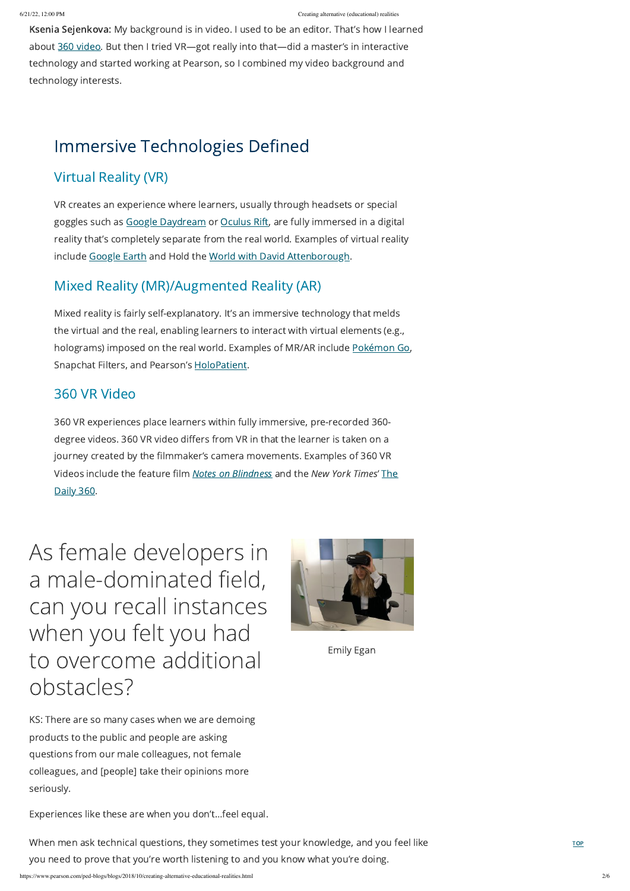**[TOP](#page-0-0)** 

Ksenia Sejenkova: My background is in video. I used to be an editor. That's how I learned about 360 [video.](https://www.pearson.com/uk/web/pearsontq/our-training-services/immersive-learning/virtual-reality-and-360-video.html) But then I tried VR-got really into that-did a master's in interactive technology and started working at Pearson, so I combined my video background and technology interests.

VR creates an experience where learners, usually through headsets or special goggles such as Google [Daydream](https://vr.google.com/daydream/) or [Oculus](https://www.oculus.com/rift/#oui-csl-rift-games=mages-tale) Rift, are fully immersed in a digital reality that's completely separate from the real world. Examples of virtual reality include [Google](https://www.google.com/earth/) Earth and Hold the World with David [Attenborough](https://www.factory42.uk/holdtheworld).

Experiences like these are when you don't…feel equal.

Mixed reality is fairly self-explanatory. It's an immersive technology that melds the virtual and the real, enabling learners to interact with virtual elements (e.g., holograms) imposed on the real world. Examples of MR/AR include [Pokémon](https://www.pokemongo.com/en-us/) Go, Snapchat Filters, and Pearson's [HoloPatient](https://www.microsoft.com/en-us/p/holopatient/9n42l1xz97vz#activetab=pivot:overviewtab).

When men ask technical questions, they sometimes test your knowledge, and you feel like you need to prove that you're worth listening to and you know what you're doing.

### Immersive Technologies Defined

#### Virtual Reality (VR)

#### Mixed Reality (MR)/Augmented Reality (AR)

#### 360 VR Video

360 VR experiences place learners within fully immersive, pre-recorded 360 degree videos. 360 VR video differs from VR in that the learner is taken on a journey created by the filmmaker's camera movements. Examples of 360 VR Videos include the feature film Notes on [Blindness](http://www.notesonblindness.co.uk/) and the New York Times' The Daily 360.

As female developers in a male-dominated field, can you recall instances when you felt you had to overcome additional





KS: There are so many cases when we are demoing products to the public and people are asking questions from our male colleagues, not female colleagues, and [people] take their opinions more seriously.

Emily Egan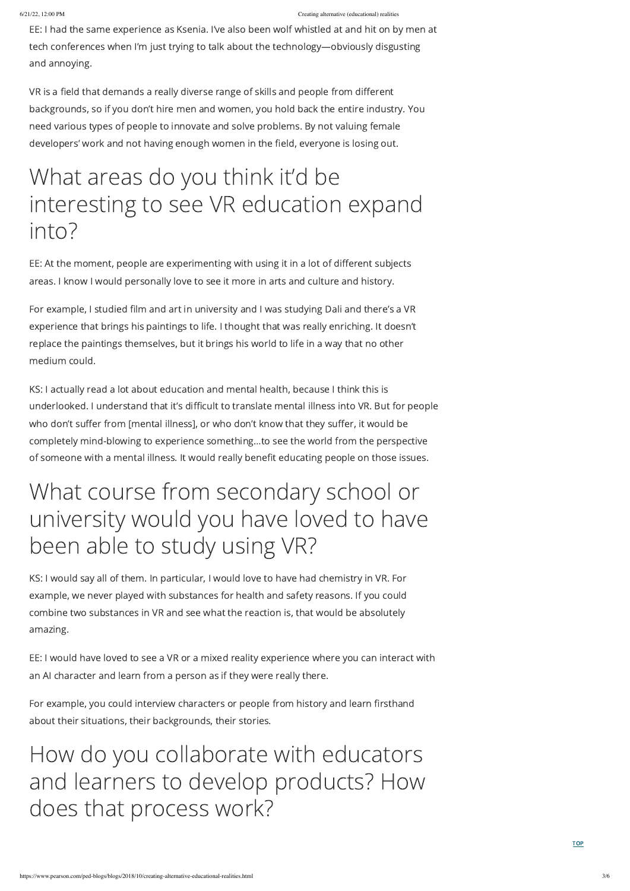**[TOP](#page-0-0)** 

EE: I had the same experience as Ksenia. I've also been wolf whistled at and hit on by men at tech conferences when I'm just trying to talk about the technology—obviously disgusting and annoying.

VR is a field that demands a really diverse range of skills and people from different backgrounds, so if you don't hire men and women, you hold back the entire industry. You need various types of people to innovate and solve problems. By not valuing female developers' work and not having enough women in the field, everyone is losing out.

# What areas do you think it'd be interesting to see VR education expand into?

EE: At the moment, people are experimenting with using it in a lot of different subjects areas. I know I would personally love to see it more in arts and culture and history.

For example, I studied film and art in university and I was studying Dali and there's a VR experience that brings his paintings to life. I thought that was really enriching. It doesn't replace the paintings themselves, but it brings his world to life in a way that no other medium could.

KS: I actually read a lot about education and mental health, because I think this is underlooked. I understand that it's difficult to translate mental illness into VR. But for people who don't suffer from [mental illness], or who don't know that they suffer, it would be completely mind-blowing to experience something…to see the world from the perspective of someone with a mental illness. It would really benefit educating people on those issues.

# What course from secondary school or university would you have loved to have been able to study using VR?

KS: I would say all of them. In particular, I would love to have had chemistry in VR. For example, we never played with substances for health and safety reasons. If you could combine two substances in VR and see what the reaction is, that would be absolutely amazing.

EE: I would have loved to see a VR or a mixed reality experience where you can interact with

an AI character and learn from a person as if they were really there.

For example, you could interview characters or people from history and learn firsthand about their situations, their backgrounds, their stories.

### How do you collaborate with educators and learners to develop products? How does that process work?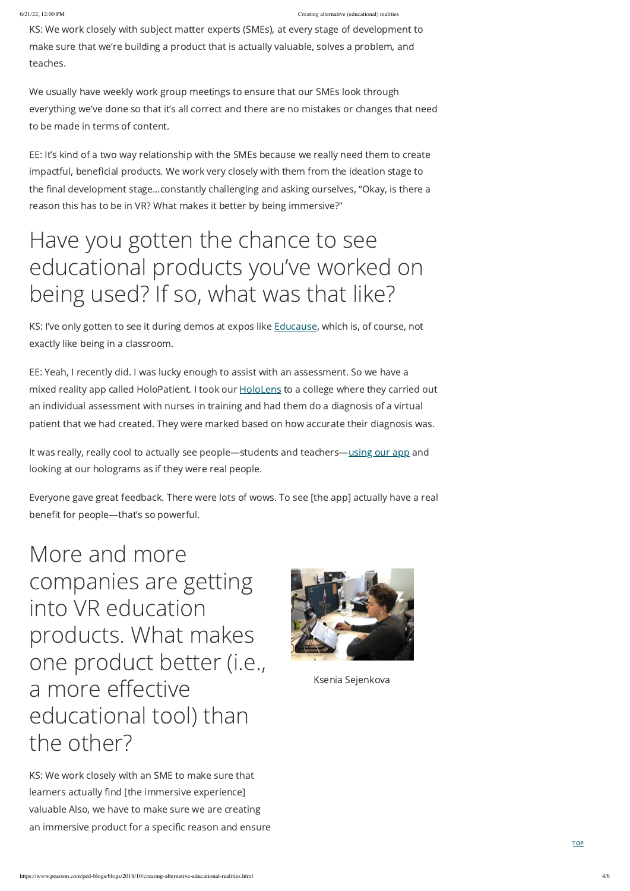KS: We work closely with subject matter experts (SMEs), at every stage of development to make sure that we're building a product that is actually valuable, solves a problem, and teaches.

We usually have weekly work group meetings to ensure that our SMEs look through everything we've done so that it's all correct and there are no mistakes or changes that need to be made in terms of content.

KS: I've only gotten to see it during demos at expos like **[Educause](https://www.educause.edu/)**, which is, of course, not exactly like being in a classroom.

EE: It's kind of a two way relationship with the SMEs because we really need them to create impactful, beneficial products. We work very closely with them from the ideation stage to the final development stage…constantly challenging and asking ourselves, "Okay, is there a reason this has to be in VR? What makes it better by being immersive?"

It was really, really cool to actually see people—students and teachers[—using](https://youtu.be/luvCaUmf5lc) our app and looking at our holograms as if they were real people.

### Have you gotten the chance to see educational products you've worked on being used? If so, what was that like?

EE: Yeah, I recently did. I was lucky enough to assist with an assessment. So we have a mixed reality app called HoloPatient. I took our **[HoloLens](https://www.microsoft.com/en-us/hololens)** to a college where they carried out an individual assessment with nurses in training and had them do a diagnosis of a virtual patient that we had created. They were marked based on how accurate their diagnosis was.

Everyone gave great feedback. There were lots of wows. To see [the app] actually have a real benefit for people—that's so powerful.

More and more companies are getting into VR education products. What makes one product better (i.e.,



# a more effective educational tool) than the other?

KS: We work closely with an SME to make sure that learners actually find [the immersive experience] valuable Also, we have to make sure we are creating an immersive product for a specific reason and ensure Ksenia Sejenkova